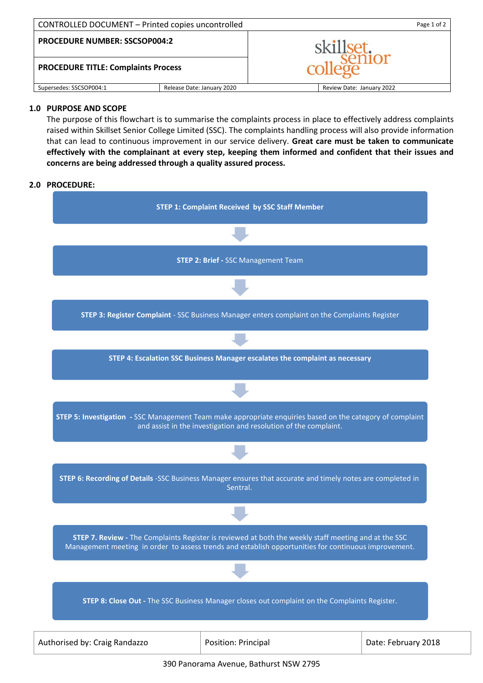| CONTROLLED DOCUMENT - Printed copies uncontrolled |                            | Page 1 of 2               |  |
|---------------------------------------------------|----------------------------|---------------------------|--|
| <b>PROCEDURE NUMBER: SSCSOP004:2</b>              |                            | skillset                  |  |
| <b>PROCEDURE TITLE: Complaints Process</b>        |                            |                           |  |
| Supersedes: SSCSOP004:1                           | Release Date: January 2020 | Review Date: January 2022 |  |

# **1.0 PURPOSE AND SCOPE**

The purpose of this flowchart is to summarise the complaints process in place to effectively address complaints raised within Skillset Senior College Limited (SSC). The complaints handling process will also provide information that can lead to continuous improvement in our service delivery. **Great care must be taken to communicate effectively with the complainant at every step, keeping them informed and confident that their issues and concerns are being addressed through a quality assured process.**

### **2.0 PROCEDURE:**



390 Panorama Avenue, Bathurst NSW 2795